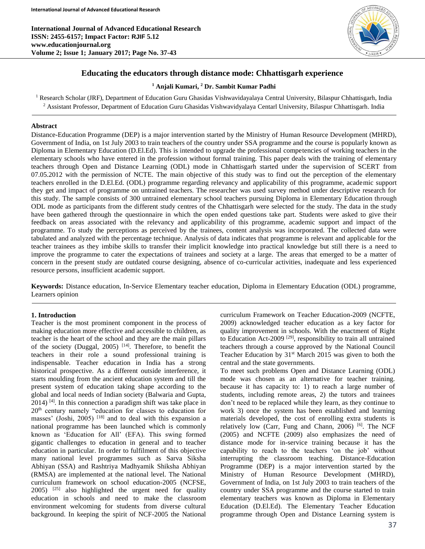**International Journal of Advanced Educational Research ISSN: 2455-6157; Impact Factor: RJIF 5.12 www.educationjournal.org Volume 2; Issue 1; January 2017; Page No. 37-43**



## **Educating the educators through distance mode: Chhattisgarh experience**

#### **<sup>1</sup> Anjali Kumari, <sup>2</sup> Dr. Sambit Kumar Padhi**

<sup>1</sup> Research Scholar (JRF), Department of Education Guru Ghasidas Vishwavidayalaya Central University, Bilaspur Chhattisgarh, India <sup>2</sup> Assistant Professor, Department of Education Guru Ghasidas Vishwavidyalaya Centarl University, Bilaspur Chhattisgarh. India

#### **Abstract**

Distance-Education Programme (DEP) is a major intervention started by the Ministry of Human Resource Development (MHRD), Government of India, on 1st July 2003 to train teachers of the country under SSA programme and the course is popularly known as Diploma in Elementary Education (D.El.Ed). This is intended to upgrade the professional competencies of working teachers in the elementary schools who have entered in the profession without formal training. This paper deals with the training of elementary teachers through Open and Distance Learning (ODL) mode in Chhattisgarh started under the supervision of SCERT from 07.05.2012 with the permission of NCTE. The main objective of this study was to find out the perception of the elementary teachers enrolled in the D.El.Ed. (ODL) programme regarding relevancy and applicability of this programme, academic support they get and impact of programme on untrained teachers. The researcher was used survey method under descriptive research for this study. The sample consists of 300 untrained elementary school teachers pursuing Diploma in Elementary Education through ODL mode as participants from the different study centres of the Chhattisgarh were selected for the study. The data in the study have been gathered through the questionnaire in which the open ended questions take part. Students were asked to give their feedback on areas associated with the relevancy and applicability of this programme, academic support and impact of the programme. To study the perceptions as perceived by the trainees, content analysis was incorporated. The collected data were tabulated and analyzed with the percentage technique. Analysis of data indicates that programme is relevant and applicable for the teacher trainees as they imbibe skills to transfer their implicit knowledge into practical knowledge but still there is a need to improve the programme to cater the expectations of trainees and society at a large. The areas that emerged to be a matter of concern in the present study are outdated course designing, absence of co-curricular activities, inadequate and less experienced resource persons, insufficient academic support.

**Keywords:** Distance education, In-Service Elementary teacher education, Diploma in Elementary Education (ODL) programme, Learners opinion

#### **1. Introduction**

Teacher is the most prominent component in the process of making education more effective and accessible to children, as teacher is the heart of the school and they are the main pillars of the society (Duggal, 2005)  $[14]$ . Therefore, to benefit the teachers in their role a sound professional training is indispensable. Teacher education in India has a strong historical prospective. As a different outside interference, it starts moulding from the ancient education system and till the present system of education taking shape according to the global and local needs of Indian society (Balwaria and Gupta,  $2014$ ) <sup>[4]</sup>. In this connection a paradigm shift was take place in 20th century namely "education for classes to education for masses' (Joshi, 2005)  $[18]$  and to deal with this expansion a national programme has been launched which is commonly known as 'Education for All' (EFA). This swing formed gigantic challenges to education in general and to teacher education in particular. In order to fulfilment of this objective many national level programmes such as Sarva Siksha Abhiyan (SSA) and Rashtriya Madhyamik Shiksha Abhiyan (RMSA) are implemented at the national level. The National curriculum framework on school education-2005 (NCFSE,  $2005$ )  $[25]$  also highlighted the urgent need for quality education in schools and need to make the classroom environment welcoming for students from diverse cultural background. In keeping the spirit of NCF-2005 the National

curriculum Framework on Teacher Education-2009 (NCFTE, 2009) acknowledged teacher education as a key factor for quality improvement in schools. With the enactment of Right to Education Act-2009<sup>[29]</sup>, responsibility to train all untrained teachers through a course approved by the National Council Teacher Education by  $31<sup>st</sup>$  March 2015 was given to both the central and the state governments.

To meet such problems Open and Distance Learning (ODL) mode was chosen as an alternative for teacher training. because it has capacity to: 1) to reach a large number of students, including remote areas, 2) the tutors and trainees don't need to be replaced while they learn, as they continue to work 3) once the system has been established and learning materials developed, the cost of enrolling extra students is relatively low (Carr, Fung and Chann, 2006)<sup>[6]</sup>. The NCF (2005) and NCFTE (2009) also emphasizes the need of distance mode for in-service training because it has the capability to reach to the teachers 'on the job' without interrupting the classroom teaching. Distance-Education Programme (DEP) is a major intervention started by the Ministry of Human Resource Development (MHRD), Government of India, on 1st July 2003 to train teachers of the country under SSA programme and the course started to train elementary teachers was known as Diploma in Elementary Education (D.El.Ed). The Elementary Teacher Education programme through Open and Distance Learning system is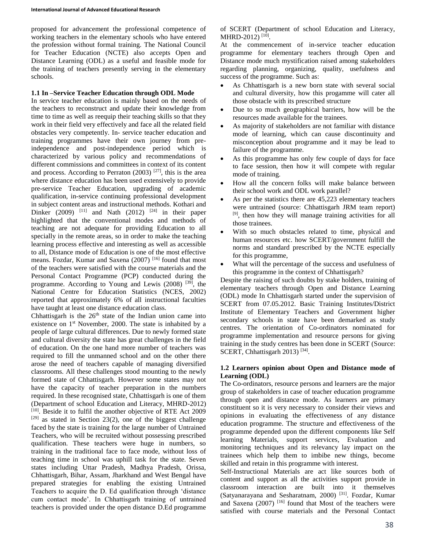proposed for advancement the professional competence of working teachers in the elementary schools who have entered the profession without formal training. The National Council for Teacher Education (NCTE) also accepts Open and Distance Learning (ODL) as a useful and feasible mode for the training of teachers presently serving in the elementary schools.

#### **1.1 In –Service Teacher Education through ODL Mode**

In service teacher education is mainly based on the needs of the teachers to reconstruct and update their knowledge from time to time as well as reequip their teaching skills so that they work in their field very effectively and face all the related field obstacles very competently. In- service teacher education and training programmes have their own journey from preindependence and post-independence period which is characterized by various policy and recommendations of different commissions and committees in context of its content and process. According to Perraton  $(2003)$  <sup>[27]</sup>, this is the area where distance education has been used extensively to provide pre-service Teacher Education, upgrading of academic qualification, in-service continuing professional development in subject content areas and instructional methods. Kothari and Dinker (2009) <sup>[11]</sup> and Nath (2012) <sup>[24]</sup> in their paper highlighted that the conventional modes and methods of teaching are not adequate for providing Education to all specially in the remote areas, so in order to make the teaching learning process effective and interesting as well as accessible to all, Distance mode of Education is one of the most effective means. Fozdar, Kumar and Saxena (2007) [16] found that most of the teachers were satisfied with the course materials and the Personal Contact Programme (PCP) conducted during the programme. According to Young and Lewis  $(2008)$  <sup>[39]</sup>, the National Centre for Education Statistics (NCES, 2002) reported that approximately 6% of all instructional faculties have taught at least one distance education class.

Chhattisgarh is the  $26<sup>th</sup>$  state of the Indian union came into existence on 1<sup>st</sup> November, 2000. The state is inhabited by a people of large cultural differences. Due to newly formed state and cultural diversity the state has great challenges in the field of education. On the one hand more number of teachers was required to fill the unmanned school and on the other there arose the need of teachers capable of managing diversified classrooms. All these challenges stood mounting to the newly formed state of Chhattisgarh. However some states may not have the capacity of teacher preparation in the numbers required. In these recognised state, Chhattisgarh is one of them (Department of school Education and Literacy, MHRD-2012) [10]. Beside it to fulfil the another objective of RTE Act 2009  $[29]$  as stated in Section 23(2), one of the biggest challenge faced by the state is training for the large number of Untrained Teachers, who will be recruited without possessing prescribed qualification. These teachers were huge in numbers, so training in the traditional face to face mode, without loss of teaching time in school was uphill task for the state. Seven states including Uttar Pradesh, Madhya Pradesh, Orissa, Chhattisgarh, Bihar, Assam, Jharkhand and West Bengal have prepared strategies for enabling the existing Untrained Teachers to acquire the D. Ed qualification through 'distance cum contact mode'. In Chhattisgarh training of untrained teachers is provided under the open distance D.Ed programme

of SCERT (Department of school Education and Literacy, MHRD-2012)<sup>[10]</sup>.

At the commencement of in-service teacher education programme for elementary teachers through Open and Distance mode much mystification raised among stakeholders regarding planning, organizing, quality, usefulness and success of the programme. Such as:

- As Chhattisgarh is a new born state with several social and cultural diversity, how this progamme will cater all those obstacle with its prescribed structure
- Due to so much geographical barriers, how will be the resources made available for the trainees.
- As majority of stakeholders are not familiar with distance mode of learning, which can cause discontinuity and misconception about programme and it may be lead to failure of the programme.
- As this programme has only few couple of days for face to face session, then how it will compete with regular mode of training.
- How all the concern folks will make balance between their school work and ODL work parallel?
- As per the statistics there are 45,223 elementary teachers were untrained (source: Chhattisgarh JRM team report) [9], then how they will manage training activities for all those trainees.
- With so much obstacles related to time, physical and human resources etc. how SCERT/government fulfill the norms and standard prescribed by the NCTE especially for this programme,
- What will the percentage of the success and usefulness of this programme in the context of Chhattisgarh?

Despite the raising of such doubts by stake holders, training of elementary teachers through Open and Distance Learning (ODL) mode In Chhattisgarh started under the supervision of SCERT from 07.05.2012. Basic Training Institutes/District Institute of Elementary Teachers and Government higher secondary schools in state have been demarked as study centres. The orientation of Co-ordinators nominated for programme implementation and resource persons for giving training in the study centres has been done in SCERT (Source: SCERT, Chhattisgarh 2013)<sup>[34]</sup>.

## **1.2 Learners opinion about Open and Distance mode of Learning (ODL)**

The Co-ordinators, resource persons and learners are the major group of stakeholders in case of teacher education programme through open and distance mode. As learners are primary constituent so it is very necessary to consider their views and opinions in evaluating the effectiveness of any distance education programme. The structure and effectiveness of the programme depended upon the different components like Self learning Materials, support services, Evaluation and monitoring techniques and its relevancy lay impact on the trainees which help them to imbibe new things, become skilled and retain in this programme with interest.

Self-Instructional Materials are act like sources both of content and support as all the activities support provide in classroom interaction are built into it themselves (Satyanarayana and Sesharatnam, 2000) [31]. Fozdar, Kumar and Saxena  $(2007)$  <sup>[16]</sup> found that Most of the teachers were satisfied with course materials and the Personal Contact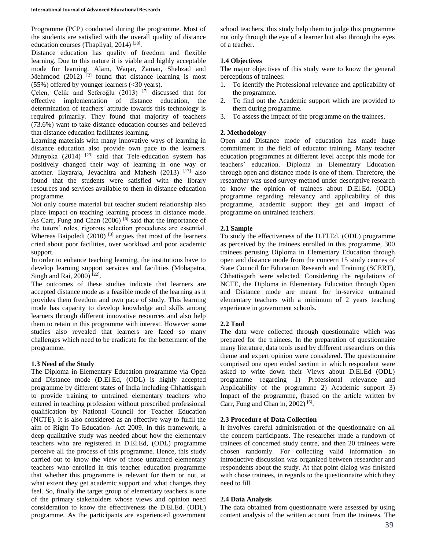Programme (PCP) conducted during the programme. Most of the students are satisfied with the overall quality of distance education courses (Thapliyal, 2014)<sup>[38]</sup>.

Distance education has quality of freedom and flexible learning. Due to this nature it is viable and highly acceptable mode for learning. Alam, Waqar, Zaman, Shehzad and Mehmood  $(2012)$ <sup>[2]</sup> found that distance learning is most  $(55\%)$  offered by younger learners  $( $30$  years).$ 

Çelen, Çelik and Seferoğlu (2013) [7] discussed that for effective implementation of distance education, the determination of teachers' attitude towards this technology is required primarily. They found that majority of teachers (73.6%) want to take distance education courses and believed that distance education facilitates learning.

Learning materials with many innovative ways of learning in distance education also provide own pace to the learners. Munyoka  $(2014)$ <sup>[23]</sup> said that Tele-education system has positively changed their way of learning in one way or another. Ilayaraja, Jeyachitra and Mahesh (2013) [17] also found that the students were satisfied with the library resources and services available to them in distance education programme.

Not only course material but teacher student relationship also place impact on teaching learning process in distance mode. As Carr, Fung and Chan (2006)<sup>[6]</sup> said that the importance of the tutors' roles, rigorous selection procedures are essential. Whereas Baipoledi  $(2010)$ <sup>[3]</sup> argues that most of the learners cried about poor facilities, over workload and poor academic support.

In order to enhance teaching learning, the institutions have to develop learning support services and facilities (Mohapatra, Singh and Rai, 2000)<sup>[22]</sup>.

The outcomes of these studies indicate that learners are accepted distance mode as a feasible mode of the learning as it provides them freedom and own pace of study. This learning mode has capacity to develop knowledge and skills among learners through different innovative resources and also help them to retain in this programme with interest. However some studies also revealed that learners are faced so many challenges which need to be eradicate for the betterment of the programme.

## **1.3 Need of the Study**

The Diploma in Elementary Education programme via Open and Distance mode (D.El.Ed, (ODL) is highly accepted programme by different states of India including Chhattisgarh to provide training to untrained elementary teachers who entered in teaching profession without prescribed professional qualification by National Council for Teacher Education (NCTE). It is also considered as an effective way to fulfil the aim of Right To Education- Act 2009. In this framework, a deep qualitative study was needed about how the elementary teachers who are registered in D.El.Ed, (ODL) programme perceive all the process of this programme. Hence, this study carried out to know the view of those untrained elementary teachers who enrolled in this teacher education programme that whether this programme is relevant for them or not, at what extent they get academic support and what changes they feel. So, finally the target group of elementary teachers is one of the primary stakeholders whose views and opinion need consideration to know the effectiveness the D.El.Ed. (ODL) programme. As the participants are experienced government school teachers, this study help them to judge this programme not only through the eye of a learner but also through the eyes of a teacher.

# **1.4 Objectives**

The major objectives of this study were to know the general perceptions of trainees:

- 1. To identify the Professional relevance and applicability of the programme.
- 2. To find out the Academic support which are provided to them during programme.
- 3. To assess the impact of the programme on the trainees.

## **2. Methodology**

Open and Distance mode of education has made huge commitment in the field of educator training. Many teacher education programmes at different level accept this mode for teachers' education. Diploma in Elementary Education through open and distance mode is one of them. Therefore, the researcher was used survey method under descriptive research to know the opinion of trainees about D.El.Ed. (ODL) programme regarding relevancy and applicability of this programme, academic support they get and impact of programme on untrained teachers.

## **2.1 Sample**

To study the effectiveness of the D.El.Ed. (ODL) programme as perceived by the trainees enrolled in this programme, 300 trainees perusing Diploma in Elementary Education through open and distance mode from the concern 15 study centres of State Council for Education Research and Training (SCERT), Chhattisgarh were selected. Considering the regulations of NCTE, the Diploma in Elementary Education through Open and Distance mode are meant for in-service untrained elementary teachers with a minimum of 2 years teaching experience in government schools.

## **2.2 Tool**

The data were collected through questionnaire which was prepared for the trainees. In the preparation of questionnaire many literature, data tools used by different researchers on this theme and expert opinion were considered. The questionnaire comprised one open ended section in which respondent were asked to write down their Views about D.El.Ed (ODL) programme regarding 1) Professional relevance and Applicability of the programme 2) Academic support 3) Impact of the programme, (based on the article written by Carr, Fung and Chan in,  $2002$ )<sup>[6]</sup>.

## **2.3 Procedure of Data Collection**

It involves careful administration of the questionnaire on all the concern participants. The researcher made a rundown of trainees of concerned study centre, and then 20 trainees were chosen randomly. For collecting valid information an introductive discussion was organized between researcher and respondents about the study. At that point dialog was finished with chose trainees, in regards to the questionnaire which they need to fill.

## **2.4 Data Analysis**

The data obtained from questionnaire were assessed by using content analysis of the written account from the trainees. The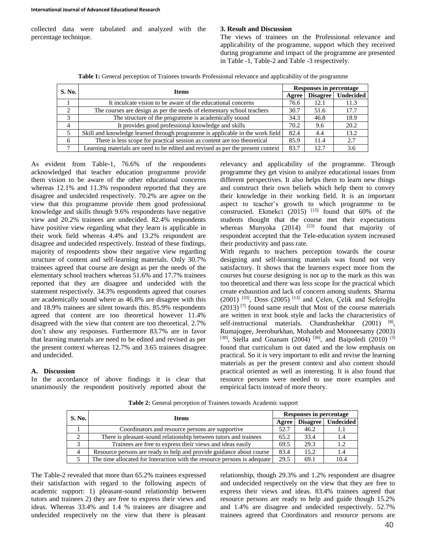collected data were tabulated and analyzed with the percentage technique.

#### **3. Result and Discussion**

The views of trainees on the Professional relevance and applicability of the programme, support which they received during programme and impact of the programme are presented in Table -1, Table-2 and Table -3 respectively.

| Table 1: General perception of Trainees towards Professional relevance and applicability of the programme |  |
|-----------------------------------------------------------------------------------------------------------|--|
|-----------------------------------------------------------------------------------------------------------|--|

| <b>S. No.</b> | <b>Items</b>                                                                    | <b>Responses in percentage</b> |      |                      |
|---------------|---------------------------------------------------------------------------------|--------------------------------|------|----------------------|
|               |                                                                                 | Agree                          |      | Disagree   Undecided |
|               | It inculcate vision to be aware of the educational concerns                     | 76.6                           | 12.1 | 11.3                 |
| 2             | The courses are design as per the needs of elementary school teachers           | 30.7                           | 51.6 | 17.7                 |
| 3             | The structure of the programme is academically sound                            | 34.3                           | 46.8 | 18.9                 |
| 4             | It provides good professional knowledge and skills                              | 70.2                           | 9.6  | 20.2                 |
|               | Skill and knowledge learned through programme is applicable in the work field   | 82.4                           | 4.4  | 13.2.                |
| 6             | There is less scope for practical session as content are too theoretical        | 85.9                           | 11.4 | 2.7                  |
|               | Learning materials are need to be edited and revised as per the present context | 83.7                           | 12.7 | 3.6                  |

As evident from Table-1, 76.6% of the respondents acknowledged that teacher education programme provide them vision to be aware of the other educational concerns whereas 12.1% and 11.3% respondent reported that they are disagree and undecided respectively. 70.2% are agree on the view that this programme provide them good professional knowledge and skills though 9.6% respondents have negative view and 20.2% trainees are undecided. 82.4% respondents have positive view regarding what they learn is applicable in their work field whereas 4.4% and 13.2% respondent are disagree and undecided respectively. Instead of these findings, majority of respondents show their negative view regarding structure of content and self-learning materials. Only 30.7% trainees agreed that course are design as per the needs of the elementary school teachers whereas 51.6% and 17.7% trainees reported that they are disagree and undecided with the statement respectively. 34.3% respondents agreed that courses are academically sound where as 46.8% are disagree with this and 18.9% trainees are silent towards this. 85.9% respondents agreed that content are too theoretical however 11.4% disagreed with the view that content are too theoretical. 2.7% don't show any responses. Furthermore 83.7% are in favor that learning materials are need to be edited and revised as per the present context whereas 12.7% and 3.65 trainees disagree and undecided.

## **A. Discussion**

In the accordance of above findings it is clear that unanimously the respondent positively reported about the relevancy and applicability of the programme. Through programme they get vision to analyze educational issues from different perspectives. It also helps them to learn new things and construct their own beliefs which help them to convey their knowledge in their working field. It is an important aspect to teacher's growth to which programme to be constructed. Ekmekci (2015)  $^{[15]}$  found that 60% of the students thought that the course met their expectations whereas Munyoka  $(2014)$  <sup>[23]</sup> found that majority of respondent accepted that the Tele-education system increased their productivity and pass rate.

With regards to teachers perception towards the course designing and self-learning materials was found not very satisfactory. It shows that the learners expect more from the courses but course designing is not up to the mark as this was too theoretical and there was less scope for the practical which create exhaustion and lack of concern among students. Sharma (2001) [33], Doss (2005) [13] and Çelen, Çelik and Seferoğlu  $(2013)$ <sup>[7]</sup> found same result that Most of the course materials are written in text book style and lacks the characteristics of self-instructional materials. Chandrashekhar  $(2001)$ <sup>[8]</sup>, Rumajogee, Jeeroburkhan, Mohadeb and Mooneesamy (2003) [30], Stella and Gnanam (2004) [36], and Baipoledi (2010) <sup>[3]</sup> found that curriculum is out dated and the low emphasis on practical. So it is very important to edit and revise the learning materials as per the present context and also content should practical oriented as well as interesting. It is also found that resource persons were needed to use more examples and empirical facts instead of more theory.

| <b>S. No.</b> | <b>Items</b>                                                             | Responses in percentage |                 |                  |  |
|---------------|--------------------------------------------------------------------------|-------------------------|-----------------|------------------|--|
|               |                                                                          | Agree                   | <b>Disagree</b> | <b>Undecided</b> |  |
|               | Coordinators and resource persons are supportive                         | 52.7                    | 46.2            |                  |  |
| 2             | There is pleasant-sound relationship between tutors and trainees         | 65.2                    | 33.4            |                  |  |
|               | Trainees are free to express their views and ideas easily                | 69.5                    | 29.3            |                  |  |
| 4             | Resource persons are ready to help and provide guidance about course     | 83.4                    | 15.2            |                  |  |
|               | The time allocated for Interaction with the resource persons is adequate | 29.5                    | 69.1            | 10.4             |  |

**Table 2:** General perception of Trainees towards Academic support

The Table-2 revealed that more than 65.2% trainees expressed their satisfaction with regard to the following aspects of academic support: 1) pleasant-sound relationship between tutors and trainees 2) they are free to express their views and ideas. Whereas 33.4% and 1.4 % trainees are disagree and undecided respectively on the view that there is pleasant relationship, though 29.3% and 1.2% respondent are disagree and undecided respectively on the view that they are free to express their views and ideas. 83.4% trainees agreed that resource persons are ready to help and guide though 15.2% and 1.4% are disagree and undecided respectively. 52.7% trainees agreed that Coordinators and resource persons are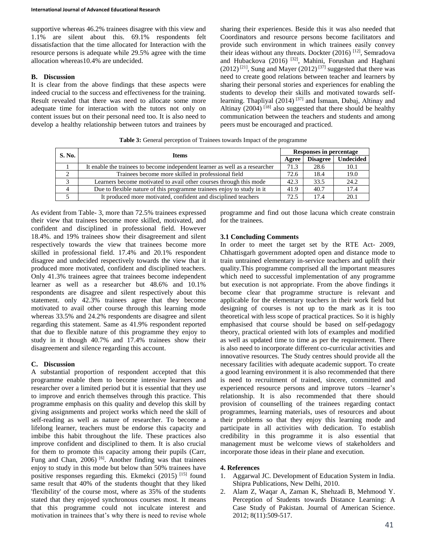supportive whereas 46.2% trainees disagree with this view and 1.1% are silent about this. 69.1% respondents felt dissatisfaction that the time allocated for Interaction with the resource persons is adequate while 29.5% agree with the time allocation whereas10.4% are undecided.

#### **B. Discussion**

It is clear from the above findings that these aspects were indeed crucial to the success and effectiveness for the training. Result revealed that there was need to allocate some more adequate time for interaction with the tutors not only on content issues but on their personal need too. It is also need to develop a healthy relationship between tutors and trainees by sharing their experiences. Beside this it was also needed that Coordinators and resource persons become facilitators and provide such environment in which trainees easily convey their ideas without any threats. Dockter (2016) <sup>[12]</sup>, Semradova and Hubackova (2016) [32], Mahini, Forushan and Haghani (2012)<sup>[21]</sup>, Sung and Mayer (2012)<sup>[37]</sup> suggested that there was need to create good relations between teacher and learners by sharing their personal stories and experiences for enabling the students to develop their skills and motivated towards selflearning. Thapliyal  $(2014)$ <sup>[37]</sup> and Ismaan, Dabaj, Altinay and Altinay  $(2004)$ <sup>[18]</sup> also suggested that there should be healthy communication between the teachers and students and among peers must be encouraged and practiced.

| S. No. | <b>Items</b>                                                                 | Responses in percentage |                 |                  |
|--------|------------------------------------------------------------------------------|-------------------------|-----------------|------------------|
|        |                                                                              | Agree                   | <b>Disagree</b> | <b>Undecided</b> |
|        | It enable the trainees to become independent learner as well as a researcher | 71.3                    | 28.6            | 10.1             |
|        | Trainees become more skilled in professional field                           | 72.6                    | 18.4            | 19.0             |
|        | Learners become motivated to avail other courses through this mode           | 42.3                    | 33.5            | 24.2             |
| 4      | Due to flexible nature of this programme trainees enjoy to study in it       | 41.9                    | 40.7            | 17.4             |
|        | It produced more motivated, confident and disciplined teachers               | 72.5                    | 17.4            | 20.1             |

**Table 3:** General perception of Trainees towards Impact of the programme

As evident from Table- 3, more than 72.5% trainees expressed their view that trainees become more skilled, motivated, and confident and disciplined in professional field. However 18.4%. and 19% trainees show their disagreement and silent respectively towards the view that trainees become more skilled in professional field. 17.4% and 20.1% respondent disagree and undecided respectively towards the view that it produced more motivated, confident and disciplined teachers. Only 41.3% trainees agree that trainees become independent learner as well as a researcher but 48.6% and 10.1% respondents are disagree and silent respectively about this statement. only 42.3% trainees agree that they become motivated to avail other course through this learning mode whereas 33.5% and 24.2% respondents are disagree and silent regarding this statement. Same as 41.9% respondent reported that due to flexible nature of this programme they enjoy to study in it though 40.7% and 17.4% trainees show their disagreement and silence regarding this account.

#### **C. Discussion**

A substantial proportion of respondent accepted that this programme enable them to become intensive learners and researcher over a limited period but it is essential that they use to improve and enrich themselves through this practice. This programme emphasis on this quality and develop this skill by giving assignments and project works which need the skill of self-reading as well as nature of researcher. To become a lifelong learner, teachers must be endorse this capacity and imbibe this habit throughout the life. These practices also improve confident and disciplined to them. It is also crucial for them to promote this capacity among their pupils (Carr, Fung and Chan, 2006) [6]. Another finding was that trainees enjoy to study in this mode but below than 50% trainees have positive responses regarding this. Ekmekci (2015) [15] found same result that 40% of the students thought that they liked 'flexibility' of the course most, where as 35% of the students stated that they enjoyed synchronous courses most. It means that this programme could not inculcate interest and motivation in trainees that's why there is need to revise whole

programme and find out those lacuna which create constrain for the trainees.

#### **3.1 Concluding Comments**

In order to meet the target set by the RTE Act- 2009, Chhattisgarh government adopted open and distance mode to train untrained elementary in-service teachers and uplift their quality.This programme comprised all the important measures which need to successful implementation of any programme but execution is not appropriate. From the above findings it become clear that programme structure is relevant and applicable for the elementary teachers in their work field but designing of courses is not up to the mark as it is too theoretical with less scope of practical practices. So it is highly emphasised that course should be based on self-pedagogy theory, practical oriented with lots of examples and modified as well as updated time to time as per the requirement. There is also need to incorporate different co-curricular activities and innovative resources. The Study centres should provide all the necessary facilities with adequate academic support. To create a good learning environment it is also recommended that there is need to recruitment of trained, sincere, committed and experienced resource persons and improve tutors –learner's relationship. It is also recommended that there should provision of counselling of the trainees regarding contact programmes, learning materials, uses of resources and about their problems so that they enjoy this learning mode and participate in all activities with dedication. To establish credibility in this programme it is also essential that management must be welcome views of stakeholders and incorporate those ideas in their plane and execution.

#### **4. References**

- 1. Aggarwal JC. Development of Education System in India. Shipra Publications, New Delhi, 2010.
- 2. Alam Z, Waqar A, Zaman K, Shehzadi B, Mehmood Y. Perception of Students towards Distance Learning: A Case Study of Pakistan. Journal of American Science. 2012; 8(11):509-517.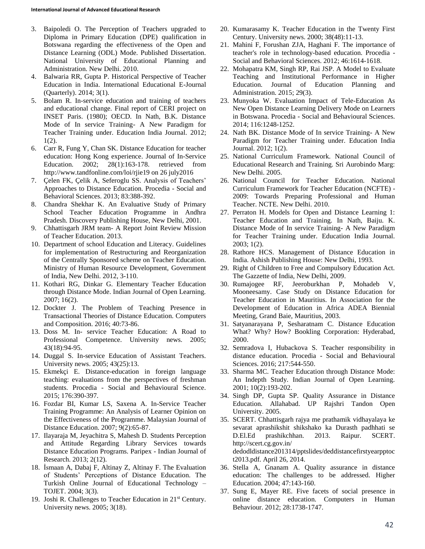- 3. Baipoledi O. The Perception of Teachers upgraded to Diploma in Primary Education (DPE) qualification in Botswana regarding the effectiveness of the Open and Distance Learning (ODL) Mode. Published Dissertation. National University of Educational Planning and Administration. New Delhi. 2010.
- 4. Balwaria RR, Gupta P. Historical Perspective of Teacher Education in India. International Educational E-Journal (Quarterly). 2014; 3(1).
- 5. Bolam R. In-service education and training of teachers and educational change. Final report of CERI project on INSET Paris. (1980); OECD. In Nath, B.K. Distance Mode of In service Training- A New Paradigm for Teacher Training under. Education India Journal. 2012; 1(2).
- 6. Carr R, Fung Y, Chan SK. Distance Education for teacher education: Hong Kong experience. Journal of In-Service Education. 2002; 28(1):163-178. retrieved from http://www.tandfonline.com/loi/rjie19 on 26 july2016
- 7. Çelen FK, Çelik A, Seferoglu SS. Analysis of Teachers' Approaches to Distance Education. Procedia - Social and Behavioral Sciences. 2013; 83:388-392.
- 8. Chandra Shekhar K. An Evaluative Study of Primary School Teacher Education Programme in Andhra Pradesh. Discovery Publishing House, New Delhi, 2001.
- 9. Chhattisgarh JRM team- A Report Joint Review Mission of Teacher Education. 2013.
- 10. Department of school Education and Literacy. Guidelines for implementation of Restructuring and Reorganization of the Centrally Sponsored scheme on Teacher Education. Ministry of Human Resource Development, Government of India, New Delhi. 2012, 3-110.
- 11. Kothari RG, Dinkar G. Elementary Teacher Education through Distance Mode. Indian Journal of Open Learning. 2007; 16(2).
- 12. Dockter J. The Problem of Teaching Presence in Transactional Theories of Distance Education. Computers and Composition. 2016; 40:73-86.
- 13. Doss M. In- service Teacher Education: A Road to Professional Competence. University news. 2005; 43(18):94-95.
- 14. Duggal S. In-service Education of Assistant Teachers. University news. 2005; 43(25):13.
- 15. Ekmekçi E. Distance-education in foreign language teaching: evaluations from the perspectives of freshman students. Procedia - Social and Behavioural Science. 2015; 176:390-397.
- 16. Fozdar BI, Kumar LS, Saxena A. In-Service Teacher Training Programme: An Analysis of Learner Opinion on the Effectiveness of the Programme. Malaysian Journal of Distance Education. 2007; 9(2):65-87.
- 17. Ilayaraja M, Jeyachitra S, Mahesh D. Students Perception and Attitude Regarding Library Services towards Distance Education Programs. Paripex - Indian Journal of Research. 2013; 2(12).
- 18. İsmaan A, Dabaj F, Altinay Z, Altinay F. The Evaluation of Students' Perceptions of Distance Education. The Turkish Online Journal of Educational Technology – TOJET. 2004; 3(3).
- 19. Joshi R. Challenges to Teacher Education in 21<sup>st</sup> Century. University news. 2005; 3(18).
- 20. Kumarasamy K. Teacher Education in the Twenty First Century. University news. 2000; 38(48):11-13.
- 21. Mahini F, Forushan ZJA, Haghani F. The importance of teacher's role in technology-based education. Procedia - Social and Behavioral Sciences. 2012; 46:1614-1618.
- 22. Mohapatra KM, Singh RP, Rai JSP. A Model to Evaluate Teaching and Institutional Performance in Higher Education. Journal of Education Planning and Administration. 2015; 29(3).
- 23. Munyoka W. Evaluation Impact of Tele-Education As New Open Distance Learning Delivery Mode on Learners in Botswana. Procedia - Social and Behavioural Sciences. 2014; 116:1248-1252.
- 24. Nath BK. Distance Mode of In service Training- A New Paradigm for Teacher Training under. Education India Journal. 2012; 1(2).
- 25. National Curriculum Framework. National Council of Educational Research and Training. Sri Aurobindo Marg: New Delhi. 2005.
- 26. National Council for Teacher Education. National Curriculum Framework for Teacher Education (NCFTE) - 2009: Towards Preparing Professional and Human Teacher. NCTE. New Delhi. 2010.
- 27. Perraton H. Models for Open and Distance Learning 1: Teacher Education and Training. In Nath, Baiju. K. Distance Mode of In service Training- A New Paradigm for Teacher Training under. Education India Journal. 2003; 1(2).
- 28. Rathore HCS. Management of Distance Education in India. Ashish Publishing House: New Delhi, 1993.
- 29. Right of Children to Free and Compulsory Education Act. The Gazzette of India, New Delhi, 2009.
- 30. Rumajogee RF, Jeeroburkhan P, Mohadeb V, Mooneesamy. Case Study on Distance Education for Teacher Education in Mauritius. In Association for the Development of Education in Africa ADEA Biennial Meeting, Grand Baie, Mauritius, 2003.
- 31. Satyanarayana P, Sesharatnam C. Distance Education What? Why? How? Bookling Corporation: Hyderabad, 2000.
- 32. Semradova I, Hubackova S. Teacher responsibility in distance education. Procedia - Social and Behavioural Sciences. 2016; 217:544-550.
- 33. Sharma MC. Teacher Education through Distance Mode: An Indepth Study. Indian Journal of Open Learning. 2001; 10(2):193-202.
- 34. Singh DP, Gupta SP. Quality Assurance in Distance Education. Allahabad. UP Rajshri Tandon Open University. 2005.
- 35. SCERT. Chhattisgarh rajya me prathamik vidhayalaya ke sevarat aprashikshit shikshako ka Durasth padhhati se D.El.Ed prashikchhan. 2013. Raipur. SCERT. http://scert.cg.gov.in/ dedodldistance201314/pptslides/deddistancefirstyearpptoc

t2013.pdf. April 26, 2014.

- 36. Stella A, Gnanam A. Quality assurance in distance education: The challenges to be addressed. Higher Education. 2004; 47:143-160.
- 37. Sung E, Mayer RE. Five facets of social presence in online distance education. Computers in Human Behaviour. 2012; 28:1738-1747.